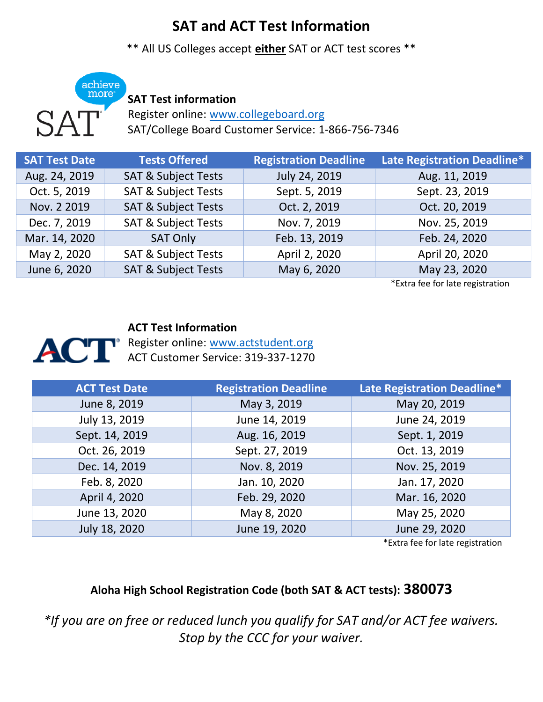# **SAT and ACT Test Information**

\*\* All US Colleges accept **either** SAT or ACT test scores \*\*



## **SAT Test information**

Register online: [www.collegeboard.org](http://www.collegeboard.org/) SAT/College Board Customer Service: 1-866-756-7346

| <b>SAT Test Date</b> | <b>Tests Offered</b>           | <b>Registration Deadline</b> | Late Registration Deadline* |
|----------------------|--------------------------------|------------------------------|-----------------------------|
| Aug. 24, 2019        | <b>SAT &amp; Subject Tests</b> | July 24, 2019                | Aug. 11, 2019               |
| Oct. 5, 2019         | <b>SAT &amp; Subject Tests</b> | Sept. 5, 2019                | Sept. 23, 2019              |
| Nov. 2 2019          | <b>SAT &amp; Subject Tests</b> | Oct. 2, 2019                 | Oct. 20, 2019               |
| Dec. 7, 2019         | <b>SAT &amp; Subject Tests</b> | Nov. 7, 2019                 | Nov. 25, 2019               |
| Mar. 14, 2020        | <b>SAT Only</b>                | Feb. 13, 2019                | Feb. 24, 2020               |
| May 2, 2020          | <b>SAT &amp; Subject Tests</b> | April 2, 2020                | April 20, 2020              |
| June 6, 2020         | <b>SAT &amp; Subject Tests</b> | May 6, 2020                  | May 23, 2020                |

\*Extra fee for late registration

#### **ACT Test Information**

Register online: [www.actstudent.org](http://www.actstudent.org/) ACT Customer Service: 319-337-1270

| <b>ACT Test Date</b> | <b>Registration Deadline</b> | Late Registration Deadline* |
|----------------------|------------------------------|-----------------------------|
| June 8, 2019         | May 3, 2019                  | May 20, 2019                |
| July 13, 2019        | June 14, 2019                | June 24, 2019               |
| Sept. 14, 2019       | Aug. 16, 2019                | Sept. 1, 2019               |
| Oct. 26, 2019        | Sept. 27, 2019               | Oct. 13, 2019               |
| Dec. 14, 2019        | Nov. 8, 2019                 | Nov. 25, 2019               |
| Feb. 8, 2020         | Jan. 10, 2020                | Jan. 17, 2020               |
| April 4, 2020        | Feb. 29, 2020                | Mar. 16, 2020               |
| June 13, 2020        | May 8, 2020                  | May 25, 2020                |
| July 18, 2020        | June 19, 2020                | June 29, 2020               |

\*Extra fee for late registration

## **Aloha High School Registration Code (both SAT & ACT tests): 380073**

*\*If you are on free or reduced lunch you qualify for SAT and/or ACT fee waivers. Stop by the CCC for your waiver.*